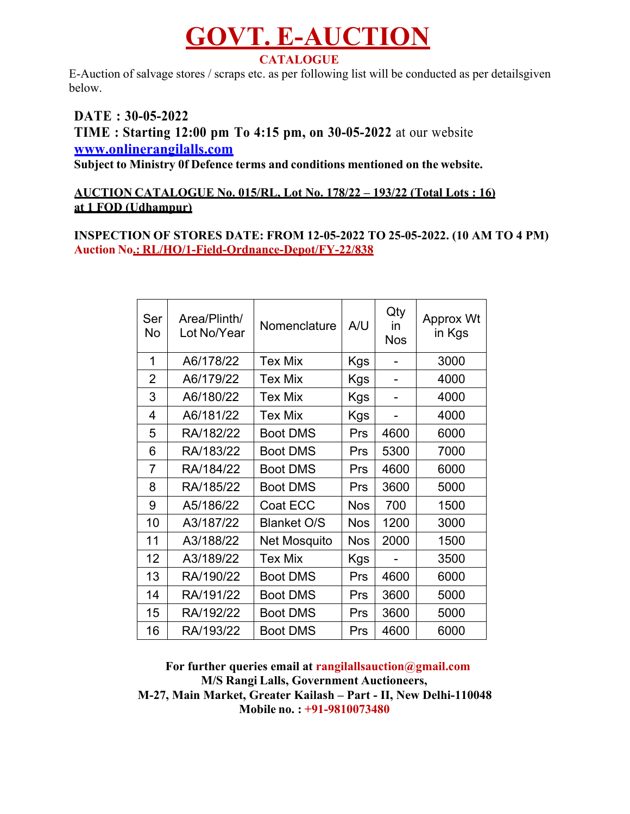## **GOVT. E-AUCTION CATALOGUE**

E-Auction of salvage stores / scraps etc. as per following list will be conducted as per detailsgiven below.

**DATE : 30-05-2022 TIME : Starting 12:00 pm To 4:15 pm, on 30-05-2022** at our website **www.onlinerangilalls.com**

**Subject to Ministry 0f Defence terms and conditions mentioned on the website.**

## **AUCTION CATALOGUE No. 015/RL, Lot No. 178/22 – 193/22 (Total Lots : 16) at 1 FOD (Udhampur)**

### **INSPECTION OF STORES DATE: FROM 12-05-2022 TO 25-05-2022. (10 AM TO 4 PM) Auction No.: RL/HO/1-Field-Ordnance-Depot/FY-22/838**

| Ser<br>No      | Area/Plinth/<br>Lot No/Year | Nomenclature       | A/U        | Qty<br>in<br><b>Nos</b> | Approx Wt<br>in Kgs |
|----------------|-----------------------------|--------------------|------------|-------------------------|---------------------|
| 1              | A6/178/22                   | <b>Tex Mix</b>     | Kgs        |                         | 3000                |
| $\overline{2}$ | A6/179/22                   | <b>Tex Mix</b>     | Kgs        |                         | 4000                |
| 3              | A6/180/22                   | <b>Tex Mix</b>     | <b>Kgs</b> |                         | 4000                |
| 4              | A6/181/22                   | <b>Tex Mix</b>     | <b>Kgs</b> |                         | 4000                |
| 5              | RA/182/22                   | <b>Boot DMS</b>    | Prs        | 4600                    | 6000                |
| 6              | RA/183/22                   | <b>Boot DMS</b>    | Prs        | 5300                    | 7000                |
| 7              | RA/184/22                   | <b>Boot DMS</b>    | Prs        | 4600                    | 6000                |
| 8              | RA/185/22                   | <b>Boot DMS</b>    | Prs        | 3600                    | 5000                |
| 9              | A5/186/22                   | Coat ECC           | <b>Nos</b> | 700                     | 1500                |
| 10             | A3/187/22                   | <b>Blanket O/S</b> | <b>Nos</b> | 1200                    | 3000                |
| 11             | A3/188/22                   | Net Mosquito       | <b>Nos</b> | 2000                    | 1500                |
| 12             | A3/189/22                   | <b>Tex Mix</b>     | Kgs        |                         | 3500                |
| 13             | RA/190/22                   | <b>Boot DMS</b>    | Prs        | 4600                    | 6000                |
| 14             | RA/191/22                   | <b>Boot DMS</b>    | Prs        | 3600                    | 5000                |
| 15             | RA/192/22                   | <b>Boot DMS</b>    | Prs        | 3600                    | 5000                |
| 16             | RA/193/22                   | <b>Boot DMS</b>    | Prs        | 4600                    | 6000                |

**For further queries email at rangilallsauction@gmail.com M/S Rangi Lalls, Government Auctioneers, M-27, Main Market, Greater Kailash – Part - II, New Delhi-110048 Mobile no. : +91-9810073480**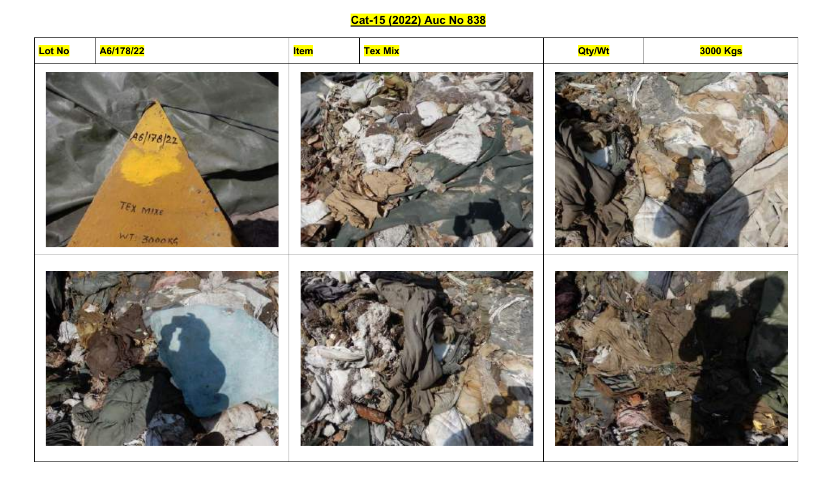## Cat-15 (2022) Auc No 838

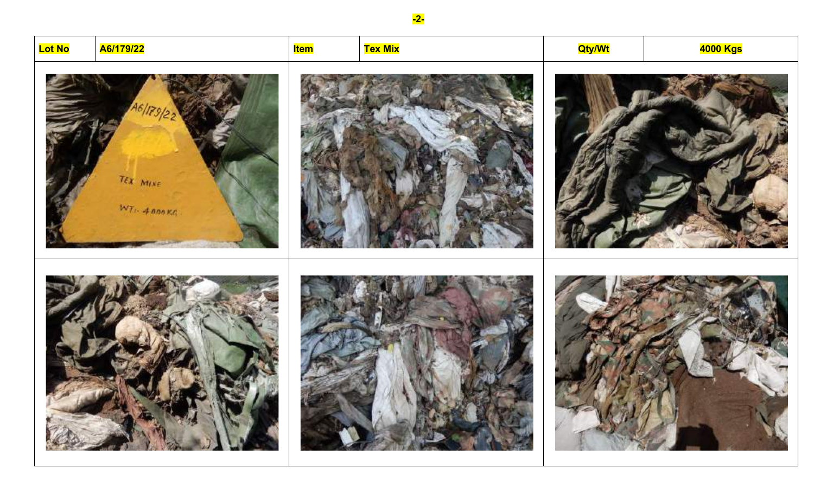

 $-2-$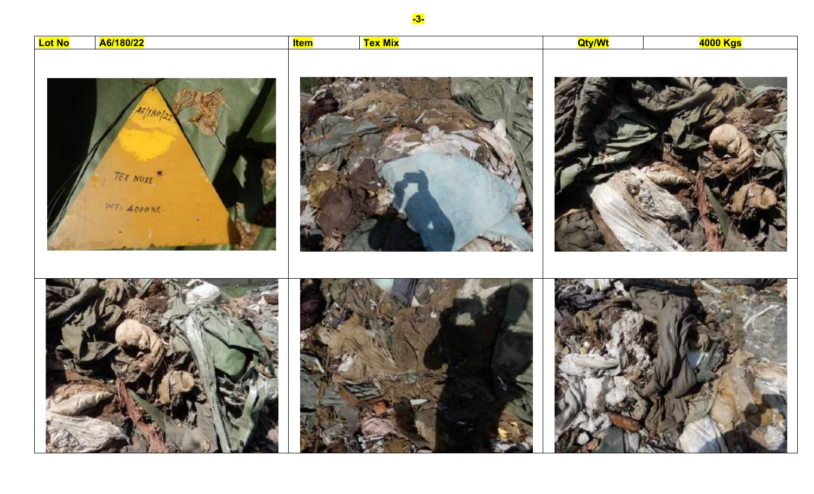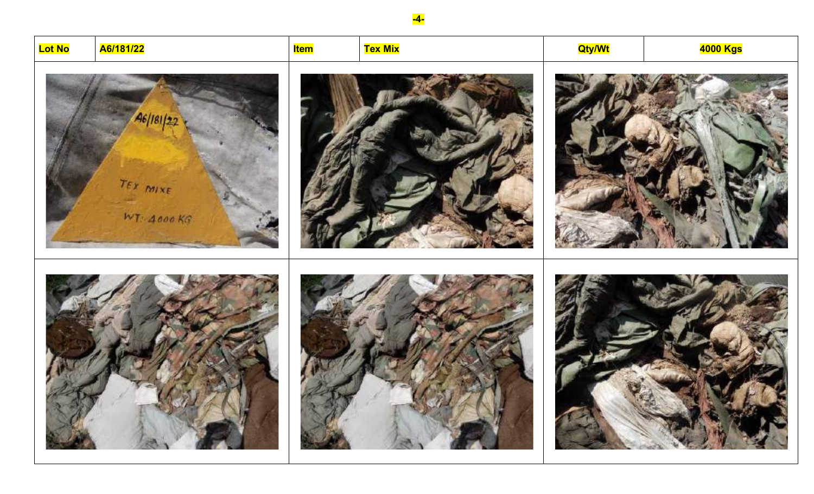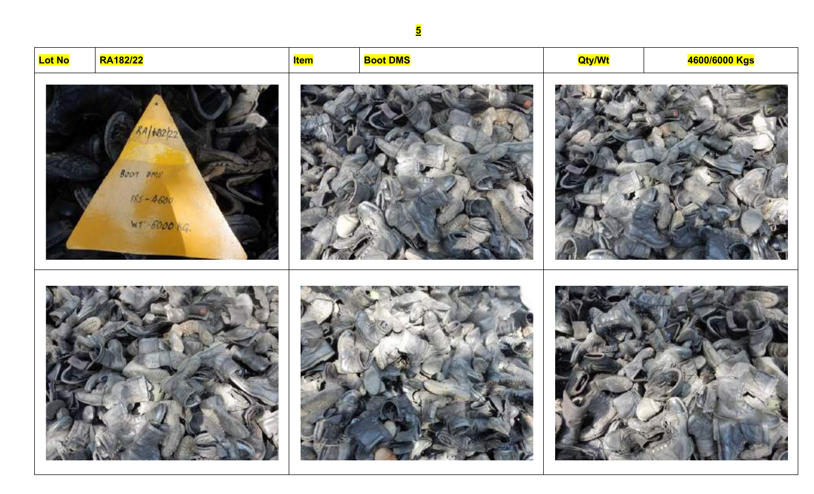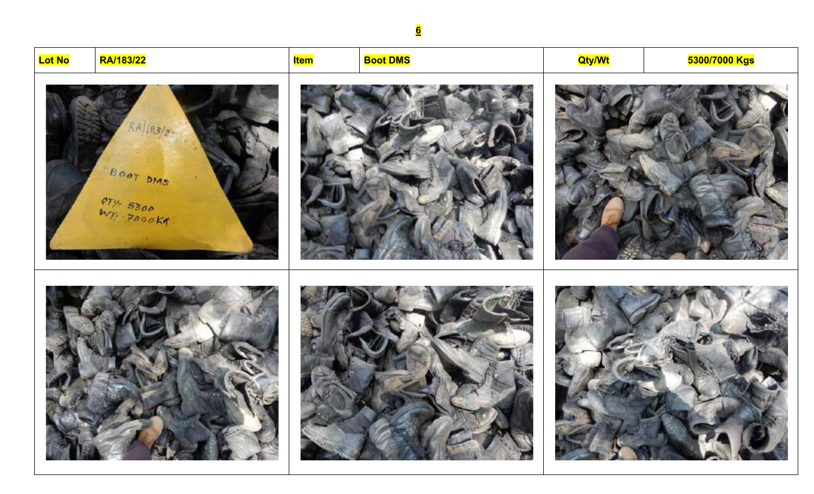# **Lot No RA/183/22 Item Boot DMS Qty/Wt 5300/7000 Kgs** $RA/183/25$ BOOT DMS  $m_{T_2}$  5300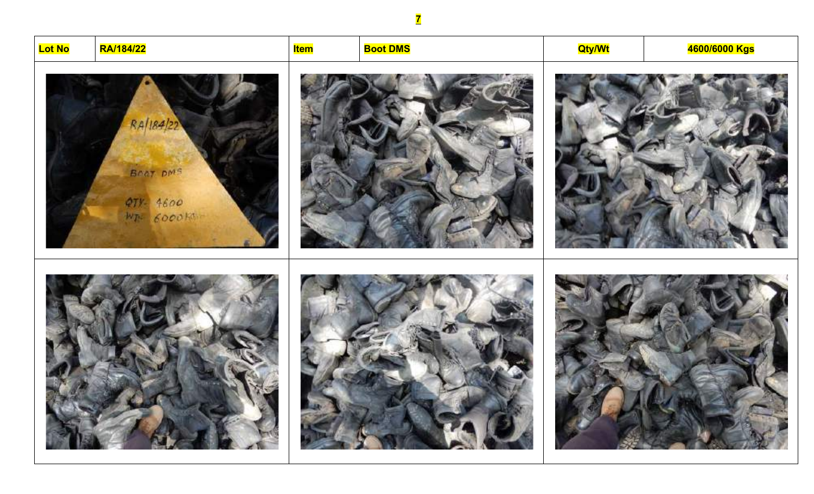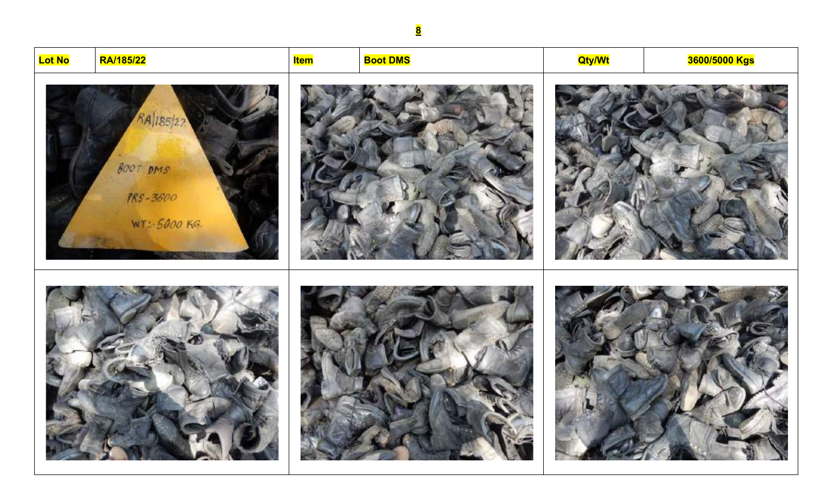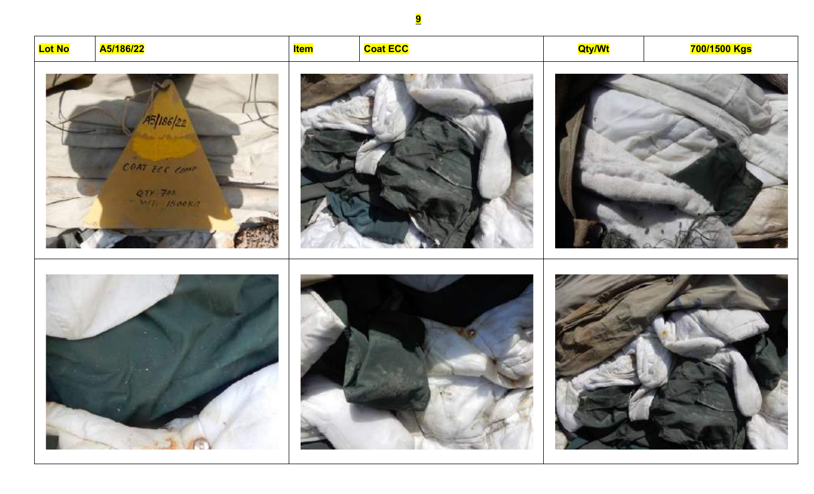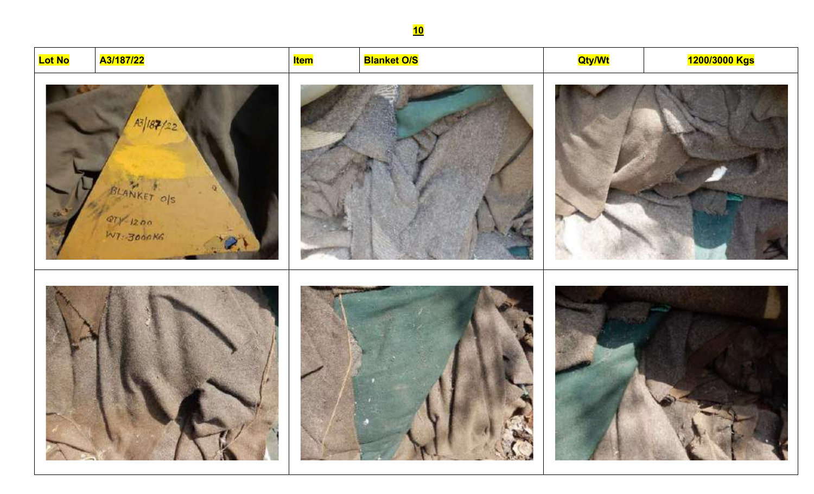1200/3000 Kgs **Blanket O/S Qty/Wt** A3/187/22 <mark>Item</mark>  $A3/187/2$ BLANKET OIS  $Q7y^2 + 1200$ 



WT: 3000KG

**Lot No** 





<u>10</u>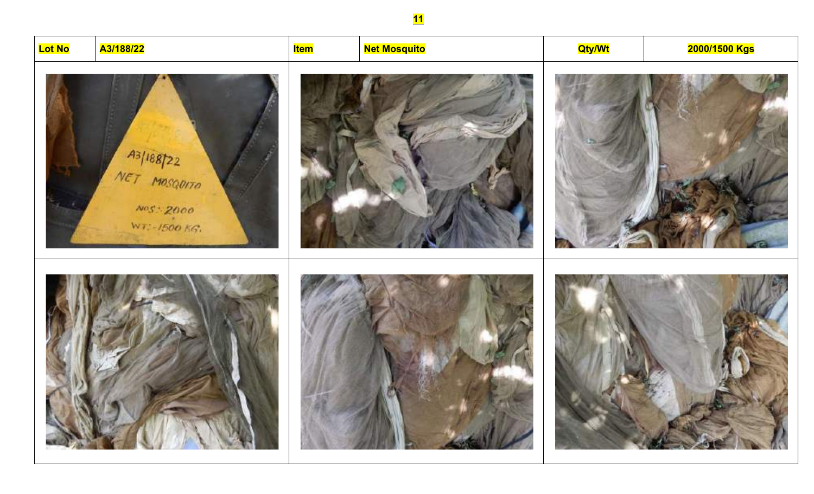# <mark>Net Mosquito</mark> A3/188/22 <mark>Item</mark> **Qty/Wt** <mark>2000/1500 Kgs</mark> A3/188722 NET MOSQUITO



 $NOS - 2000$ 

WT: - 1500 KG.

**Lot No** 





## <u>11</u>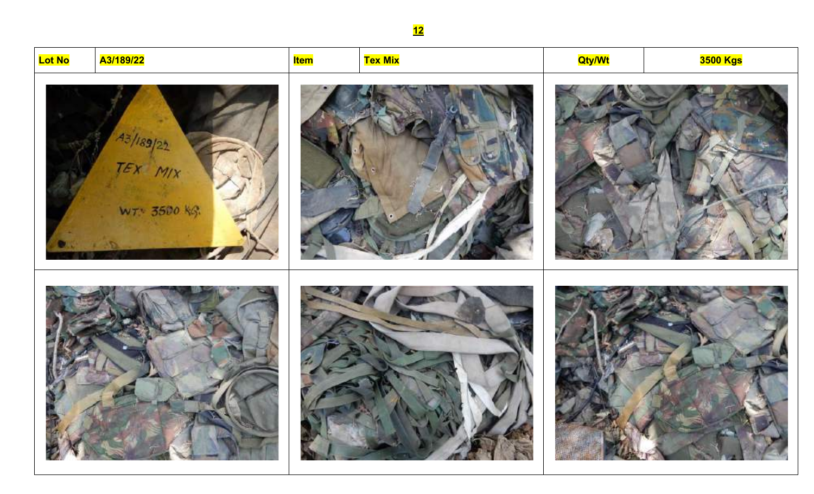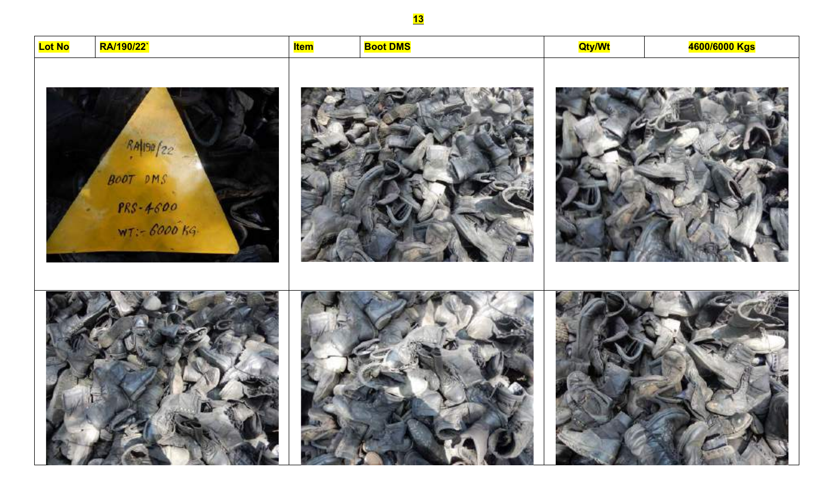4600/6000 Kgs **Lot No** RA/190/22` **Boot DMS Qty/Wt** <mark>Item</mark> RA1190/22  $BOOT$   $DMS$  $PRS - 4600$  $WT - 6000$  Kg.

<u>13</u>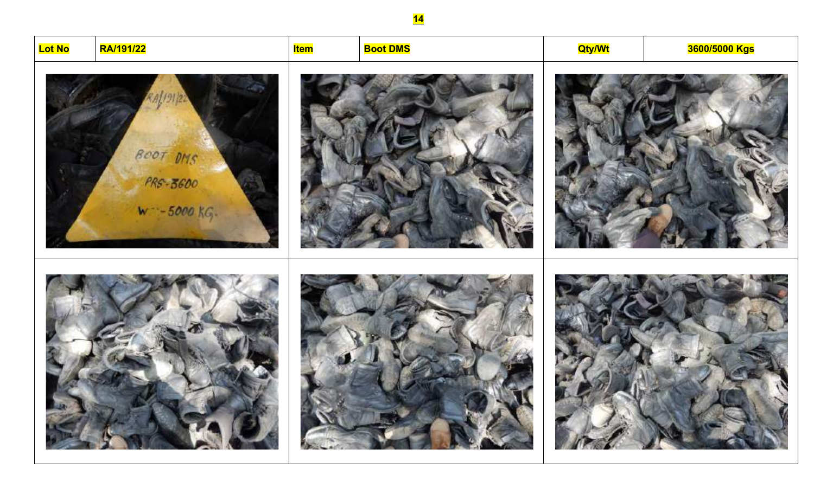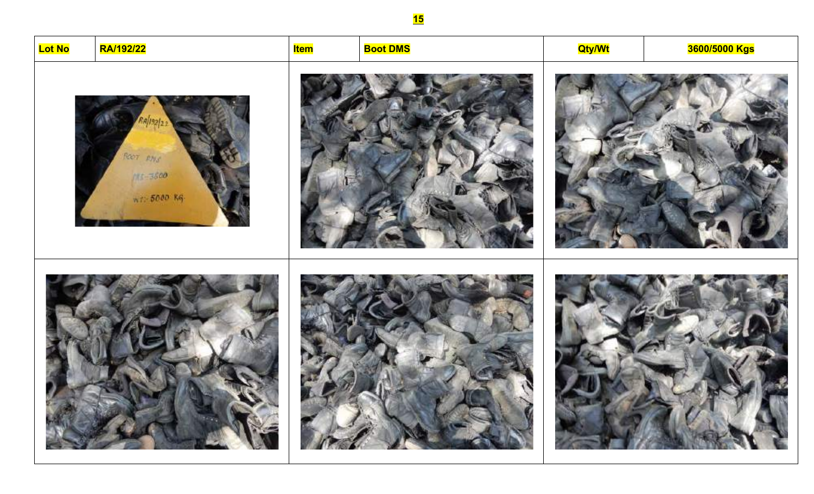